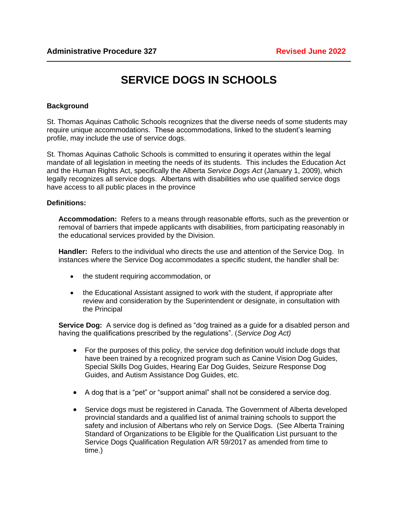## **SERVICE DOGS IN SCHOOLS**

## **Background**

St. Thomas Aquinas Catholic Schools recognizes that the diverse needs of some students may require unique accommodations. These accommodations, linked to the student's learning profile, may include the use of service dogs.

St. Thomas Aquinas Catholic Schools is committed to ensuring it operates within the legal mandate of all legislation in meeting the needs of its students. This includes the Education Act and the Human Rights Act, specifically the Alberta *Service Dogs Act* (January 1, 2009), which legally recognizes all service dogs. Albertans with disabilities who use qualified service dogs have access to all public places in the province

## **Definitions:**

**Accommodation:** Refers to a means through reasonable efforts, such as the prevention or removal of barriers that impede applicants with disabilities, from participating reasonably in the educational services provided by the Division.

**Handler:** Refers to the individual who directs the use and attention of the Service Dog. In instances where the Service Dog accommodates a specific student, the handler shall be:

- the student requiring accommodation, or
- the Educational Assistant assigned to work with the student, if appropriate after review and consideration by the Superintendent or designate, in consultation with the Principal

**Service Dog:** A service dog is defined as "dog trained as a guide for a disabled person and having the qualifications prescribed by the regulations". (*Service Dog Act)*

- For the purposes of this policy, the service dog definition would include dogs that have been trained by a recognized program such as Canine Vision Dog Guides, Special Skills Dog Guides, Hearing Ear Dog Guides, Seizure Response Dog Guides, and Autism Assistance Dog Guides, etc.
- A dog that is a "pet" or "support animal" shall not be considered a service dog.
- Service dogs must be registered in Canada. The Government of Alberta developed provincial standards and a qualified list of animal training schools to support the safety and inclusion of Albertans who rely on Service Dogs. (See Alberta Training Standard of Organizations to be Eligible for the Qualification List pursuant to the Service Dogs Qualification Regulation A/R 59/2017 as amended from time to time.)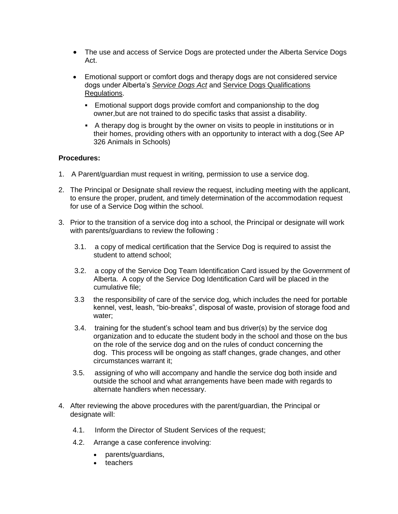- The use and access of Service Dogs are protected under the Alberta Service Dogs Act.
- Emotional support or comfort dogs and therapy dogs are not considered service dogs under Alberta's *[Service Dogs Act](https://open.alberta.ca/publications/s07p5)* and [Service Dogs Qualifications](https://open.alberta.ca/publications/2017_059)  [Regulations.](https://open.alberta.ca/publications/2017_059)
	- **Emotional support dogs provide comfort and companionship to the dog** owner,but are not trained to do specific tasks that assist a disability.
	- A therapy dog is brought by the owner on visits to people in institutions or in their homes, providing others with an opportunity to interact with a dog.(See AP 326 Animals in Schools)

## **Procedures:**

- 1. A Parent/guardian must request in writing, permission to use a service dog.
- 2. The Principal or Designate shall review the request, including meeting with the applicant, to ensure the proper, prudent, and timely determination of the accommodation request for use of a Service Dog within the school.
- 3. Prior to the transition of a service dog into a school, the Principal or designate will work with parents/guardians to review the following :
	- 3.1. a copy of medical certification that the Service Dog is required to assist the student to attend school;
	- 3.2. a copy of the Service Dog Team Identification Card issued by the Government of Alberta. A copy of the Service Dog Identification Card will be placed in the cumulative file;
	- 3.3 the responsibility of care of the service dog, which includes the need for portable kennel, vest, leash, "bio-breaks", disposal of waste, provision of storage food and water;
	- 3.4. training for the student's school team and bus driver(s) by the service dog organization and to educate the student body in the school and those on the bus on the role of the service dog and on the rules of conduct concerning the dog. This process will be ongoing as staff changes, grade changes, and other circumstances warrant it;
	- 3.5. assigning of who will accompany and handle the service dog both inside and outside the school and what arrangements have been made with regards to alternate handlers when necessary.
- 4. After reviewing the above procedures with the parent/guardian, the Principal or designate will:
	- 4.1. Inform the Director of Student Services of the request;
	- 4.2. Arrange a case conference involving:
		- parents/guardians,
		- teachers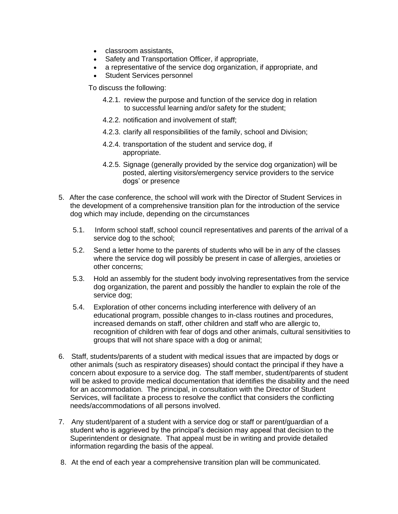- classroom assistants,
- Safety and Transportation Officer, if appropriate,
- a representative of the service dog organization, if appropriate, and
- Student Services personnel

To discuss the following:

- 4.2.1. review the purpose and function of the service dog in relation to successful learning and/or safety for the student;
- 4.2.2. notification and involvement of staff;
- 4.2.3. clarify all responsibilities of the family, school and Division;
- 4.2.4. transportation of the student and service dog, if appropriate.
- 4.2.5. Signage (generally provided by the service dog organization) will be posted, alerting visitors/emergency service providers to the service dogs' or presence
- 5. After the case conference, the school will work with the Director of Student Services in the development of a comprehensive transition plan for the introduction of the service dog which may include, depending on the circumstances
	- 5.1. Inform school staff, school council representatives and parents of the arrival of a service dog to the school;
	- 5.2. Send a letter home to the parents of students who will be in any of the classes where the service dog will possibly be present in case of allergies, anxieties or other concerns;
	- 5.3. Hold an assembly for the student body involving representatives from the service dog organization, the parent and possibly the handler to explain the role of the service dog;
	- 5.4. Exploration of other concerns including interference with delivery of an educational program, possible changes to in-class routines and procedures, increased demands on staff, other children and staff who are allergic to, recognition of children with fear of dogs and other animals, cultural sensitivities to groups that will not share space with a dog or animal;
- 6. Staff, students/parents of a student with medical issues that are impacted by dogs or other animals (such as respiratory diseases) should contact the principal if they have a concern about exposure to a service dog. The staff member, student/parents of student will be asked to provide medical documentation that identifies the disability and the need for an accommodation. The principal, in consultation with the Director of Student Services, will facilitate a process to resolve the conflict that considers the conflicting needs/accommodations of all persons involved.
- 7. Any student/parent of a student with a service dog or staff or parent/guardian of a student who is aggrieved by the principal's decision may appeal that decision to the Superintendent or designate. That appeal must be in writing and provide detailed information regarding the basis of the appeal.
- 8. At the end of each year a comprehensive transition plan will be communicated.